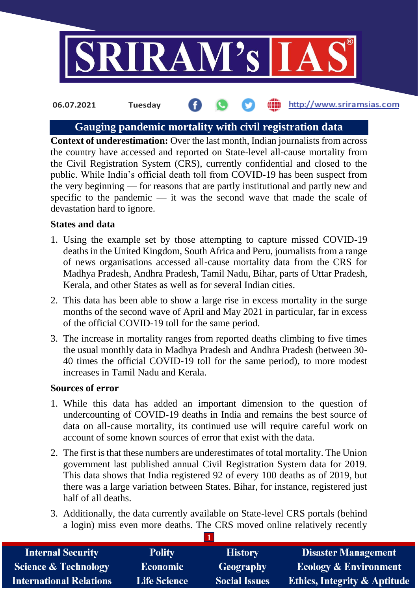

# **Gauging pandemic mortality with civil registration data**

**Context of underestimation:** Over the last month, Indian journalists from across the country have accessed and reported on State-level all-cause mortality from the Civil Registration System (CRS), currently confidential and closed to the public. While India's official death toll from COVID-19 has been suspect from the very beginning — for reasons that are partly institutional and partly new and specific to the pandemic — it was the second wave that made the scale of devastation hard to ignore.

### **States and data**

- 1. Using the example set by those attempting to capture missed COVID-19 deaths in the United Kingdom, South Africa and Peru, journalists from a range of news organisations accessed all-cause mortality data from the CRS for Madhya Pradesh, Andhra Pradesh, Tamil Nadu, Bihar, parts of Uttar Pradesh, Kerala, and other States as well as for several Indian cities.
- 2. This data has been able to show a large rise in excess mortality in the surge months of the second wave of April and May 2021 in particular, far in excess of the official COVID-19 toll for the same period.
- 3. The increase in mortality ranges from reported deaths climbing to five times the usual monthly data in Madhya Pradesh and Andhra Pradesh (between 30- 40 times the official COVID-19 toll for the same period), to more modest increases in Tamil Nadu and Kerala.

## **Sources of error**

- 1. While this data has added an important dimension to the question of undercounting of COVID-19 deaths in India and remains the best source of data on all-cause mortality, its continued use will require careful work on account of some known sources of error that exist with the data.
- 2. The first is that these numbers are underestimates of total mortality. The Union government last published annual Civil Registration System data for 2019. This data shows that India registered 92 of every 100 deaths as of 2019, but there was a large variation between States. Bihar, for instance, registered just half of all deaths.
- 3. Additionally, the data currently available on State-level CRS portals (behind a login) miss even more deaths. The CRS moved online relatively recently

| <b>Internal Security</b>        | <b>Polity</b>       | <b>History</b>       | <b>Disaster Management</b>              |
|---------------------------------|---------------------|----------------------|-----------------------------------------|
| <b>Science &amp; Technology</b> | <b>Economic</b>     | <b>Geography</b>     | <b>Ecology &amp; Environment</b>        |
| <b>International Relations</b>  | <b>Life Science</b> | <b>Social Issues</b> | <b>Ethics, Integrity &amp; Aptitude</b> |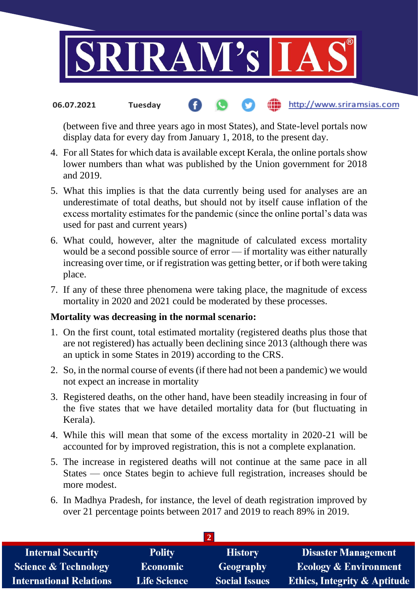

(between five and three years ago in most States), and State-level portals now display data for every day from January 1, 2018, to the present day.

- 4. For all States for which data is available except Kerala, the online portals show lower numbers than what was published by the Union government for 2018 and 2019.
- 5. What this implies is that the data currently being used for analyses are an underestimate of total deaths, but should not by itself cause inflation of the excess mortality estimates for the pandemic (since the online portal's data was used for past and current years)
- 6. What could, however, alter the magnitude of calculated excess mortality would be a second possible source of error — if mortality was either naturally increasing over time, or if registration was getting better, or if both were taking place.
- 7. If any of these three phenomena were taking place, the magnitude of excess mortality in 2020 and 2021 could be moderated by these processes.

### **Mortality was decreasing in the normal scenario:**

- 1. On the first count, total estimated mortality (registered deaths plus those that are not registered) has actually been declining since 2013 (although there was an uptick in some States in 2019) according to the CRS.
- 2. So, in the normal course of events (if there had not been a pandemic) we would not expect an increase in mortality
- 3. Registered deaths, on the other hand, have been steadily increasing in four of the five states that we have detailed mortality data for (but fluctuating in Kerala).
- 4. While this will mean that some of the excess mortality in 2020-21 will be accounted for by improved registration, this is not a complete explanation.
- 5. The increase in registered deaths will not continue at the same pace in all States — once States begin to achieve full registration, increases should be more modest.
- 6. In Madhya Pradesh, for instance, the level of death registration improved by over 21 percentage points between 2017 and 2019 to reach 89% in 2019.

| <b>Internal Security</b>        | <b>Polity</b>       | <b>History</b>       | <b>Disaster Management</b>              |  |
|---------------------------------|---------------------|----------------------|-----------------------------------------|--|
| <b>Science &amp; Technology</b> | <b>Economic</b>     | Geography            | <b>Ecology &amp; Environment</b>        |  |
| <b>International Relations</b>  | <b>Life Science</b> | <b>Social Issues</b> | <b>Ethics, Integrity &amp; Aptitude</b> |  |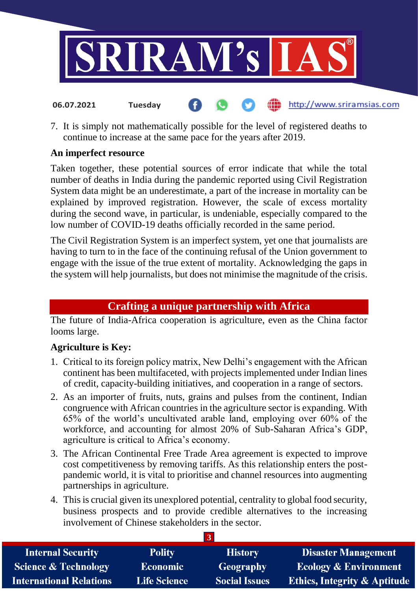

7. It is simply not mathematically possible for the level of registered deaths to continue to increase at the same pace for the years after 2019.

http://www.sriramsias.com

# **An imperfect resource**

**06.07.2021 Tuesday**

Taken together, these potential sources of error indicate that while the total number of deaths in India during the pandemic reported using Civil Registration System data might be an underestimate, a part of the increase in mortality can be explained by improved registration. However, the scale of excess mortality during the second wave, in particular, is undeniable, especially compared to the low number of COVID-19 deaths officially recorded in the same period.

The Civil Registration System is an imperfect system, yet one that journalists are having to turn to in the face of the continuing refusal of the Union government to engage with the issue of the true extent of mortality. Acknowledging the gaps in the system will help journalists, but does not minimise the magnitude of the crisis.

# **Crafting a unique partnership with Africa**

The future of India-Africa cooperation is agriculture, even as the China factor looms large.

# **Agriculture is Key:**

- 1. Critical to its foreign policy matrix, New Delhi's engagement with the African continent has been multifaceted, with projects implemented under Indian lines of credit, capacity-building initiatives, and cooperation in a range of sectors.
- 2. As an importer of fruits, nuts, grains and pulses from the continent, Indian congruence with African countries in the agriculture sector is expanding. With 65% of the world's uncultivated arable land, employing over 60% of the workforce, and accounting for almost 20% of Sub-Saharan Africa's GDP, agriculture is critical to Africa's economy.
- 3. The African Continental Free Trade Area agreement is expected to improve cost competitiveness by removing tariffs. As this relationship enters the postpandemic world, it is vital to prioritise and channel resources into augmenting partnerships in agriculture.
- 4. This is crucial given its unexplored potential, centrality to global food security, business prospects and to provide credible alternatives to the increasing involvement of Chinese stakeholders in the sector.

| <b>Internal Security</b>        | <b>Polity</b>       | <b>History</b>       | <b>Disaster Management</b>              |
|---------------------------------|---------------------|----------------------|-----------------------------------------|
| <b>Science &amp; Technology</b> | <b>Economic</b>     | Geography            | <b>Ecology &amp; Environment</b>        |
| <b>International Relations</b>  | <b>Life Science</b> | <b>Social Issues</b> | <b>Ethics, Integrity &amp; Aptitude</b> |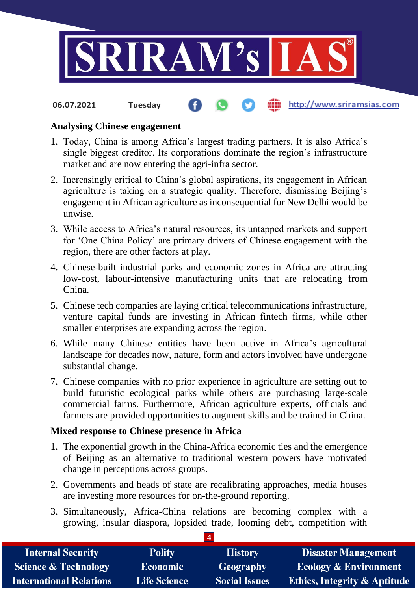

## **Analysing Chinese engagement**

- 1. Today, China is among Africa's largest trading partners. It is also Africa's single biggest creditor. Its corporations dominate the region's infrastructure market and are now entering the agri-infra sector.
- 2. Increasingly critical to China's global aspirations, its engagement in African agriculture is taking on a strategic quality. Therefore, dismissing Beijing's engagement in African agriculture as inconsequential for New Delhi would be unwise.
- 3. While access to Africa's natural resources, its untapped markets and support for 'One China Policy' are primary drivers of Chinese engagement with the region, there are other factors at play.
- 4. Chinese-built industrial parks and economic zones in Africa are attracting low-cost, labour-intensive manufacturing units that are relocating from China.
- 5. Chinese tech companies are laying critical telecommunications infrastructure, venture capital funds are investing in African fintech firms, while other smaller enterprises are expanding across the region.
- 6. While many Chinese entities have been active in Africa's agricultural landscape for decades now, nature, form and actors involved have undergone substantial change.
- 7. Chinese companies with no prior experience in agriculture are setting out to build futuristic ecological parks while others are purchasing large-scale commercial farms. Furthermore, African agriculture experts, officials and farmers are provided opportunities to augment skills and be trained in China.

### **Mixed response to Chinese presence in Africa**

- 1. The exponential growth in the China-Africa economic ties and the emergence of Beijing as an alternative to traditional western powers have motivated change in perceptions across groups.
- 2. Governments and heads of state are recalibrating approaches, media houses are investing more resources for on-the-ground reporting.
- 3. Simultaneously, Africa-China relations are becoming complex with a growing, insular diaspora, lopsided trade, looming debt, competition with

| <b>Internal Security</b>        | <b>Polity</b>       | <b>History</b>       | <b>Disaster Management</b>              |  |
|---------------------------------|---------------------|----------------------|-----------------------------------------|--|
| <b>Science &amp; Technology</b> | <b>Economic</b>     | Geography            | <b>Ecology &amp; Environment</b>        |  |
| <b>International Relations</b>  | <b>Life Science</b> | <b>Social Issues</b> | <b>Ethics, Integrity &amp; Aptitude</b> |  |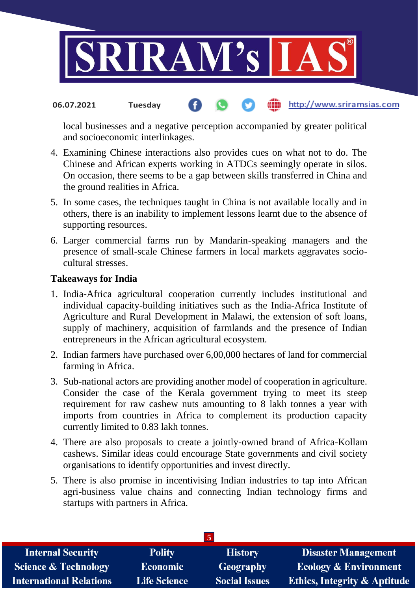

local businesses and a negative perception accompanied by greater political and socioeconomic interlinkages.

- 4. Examining Chinese interactions also provides cues on what not to do. The Chinese and African experts working in ATDCs seemingly operate in silos. On occasion, there seems to be a gap between skills transferred in China and the ground realities in Africa.
- 5. In some cases, the techniques taught in China is not available locally and in others, there is an inability to implement lessons learnt due to the absence of supporting resources.
- 6. Larger commercial farms run by Mandarin-speaking managers and the presence of small-scale Chinese farmers in local markets aggravates sociocultural stresses.

### **Takeaways for India**

- 1. India-Africa agricultural cooperation currently includes institutional and individual capacity-building initiatives such as the India-Africa Institute of Agriculture and Rural Development in Malawi, the extension of soft loans, supply of machinery, acquisition of farmlands and the presence of Indian entrepreneurs in the African agricultural ecosystem.
- 2. Indian farmers have purchased over 6,00,000 hectares of land for commercial farming in Africa.
- 3. Sub-national actors are providing another model of cooperation in agriculture. Consider the case of the Kerala government trying to meet its steep requirement for raw cashew nuts amounting to 8 lakh tonnes a year with imports from countries in Africa to complement its production capacity currently limited to 0.83 lakh tonnes.
- 4. There are also proposals to create a jointly-owned brand of Africa-Kollam cashews. Similar ideas could encourage State governments and civil society organisations to identify opportunities and invest directly.
- 5. There is also promise in incentivising Indian industries to tap into African agri-business value chains and connecting Indian technology firms and startups with partners in Africa.

| <b>Internal Security</b>        | <b>Polity</b>       | <b>History</b>       | <b>Disaster Management</b>              |
|---------------------------------|---------------------|----------------------|-----------------------------------------|
| <b>Science &amp; Technology</b> | <b>Economic</b>     | <b>Geography</b>     | <b>Ecology &amp; Environment</b>        |
| <b>International Relations</b>  | <b>Life Science</b> | <b>Social Issues</b> | <b>Ethics, Integrity &amp; Aptitude</b> |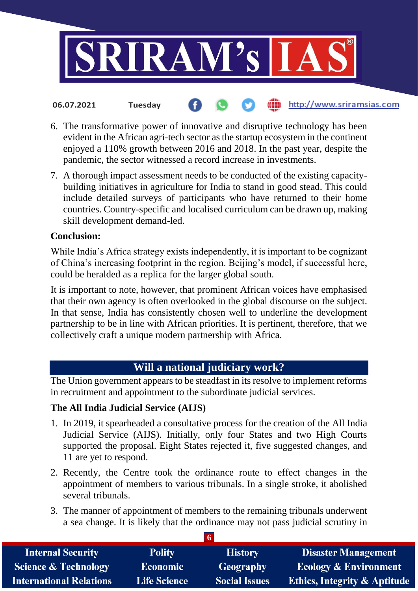

- 6. The transformative power of innovative and disruptive technology has been evident in the African agri-tech sector as the startup ecosystem in the continent enjoyed a 110% growth between 2016 and 2018. In the past year, despite the
- 7. A thorough impact assessment needs to be conducted of the existing capacitybuilding initiatives in agriculture for India to stand in good stead. This could include detailed surveys of participants who have returned to their home countries. Country-specific and localised curriculum can be drawn up, making skill development demand-led.

pandemic, the sector witnessed a record increase in investments.

# **Conclusion:**

While India's Africa strategy exists independently, it is important to be cognizant of China's increasing footprint in the region. Beijing's model, if successful here, could be heralded as a replica for the larger global south.

It is important to note, however, that prominent African voices have emphasised that their own agency is often overlooked in the global discourse on the subject. In that sense, India has consistently chosen well to underline the development partnership to be in line with African priorities. It is pertinent, therefore, that we collectively craft a unique modern partnership with Africa.

# **Will a national judiciary work?**

The Union government appears to be steadfast in its resolve to implement reforms in recruitment and appointment to the subordinate judicial services.

# **The All India Judicial Service (AIJS)**

- 1. In 2019, it spearheaded a consultative process for the creation of the All India Judicial Service (AIJS). Initially, only four States and two High Courts supported the proposal. Eight States rejected it, five suggested changes, and 11 are yet to respond.
- 2. Recently, the Centre took the ordinance route to effect changes in the appointment of members to various tribunals. In a single stroke, it abolished several tribunals.
- 3. The manner of appointment of members to the remaining tribunals underwent a sea change. It is likely that the ordinance may not pass judicial scrutiny in

| <b>Internal Security</b>        | <b>Polity</b>       | <b>History</b>       | <b>Disaster Management</b>              |
|---------------------------------|---------------------|----------------------|-----------------------------------------|
| <b>Science &amp; Technology</b> | <b>Economic</b>     | Geography            | <b>Ecology &amp; Environment</b>        |
| <b>International Relations</b>  | <b>Life Science</b> | <b>Social Issues</b> | <b>Ethics, Integrity &amp; Aptitude</b> |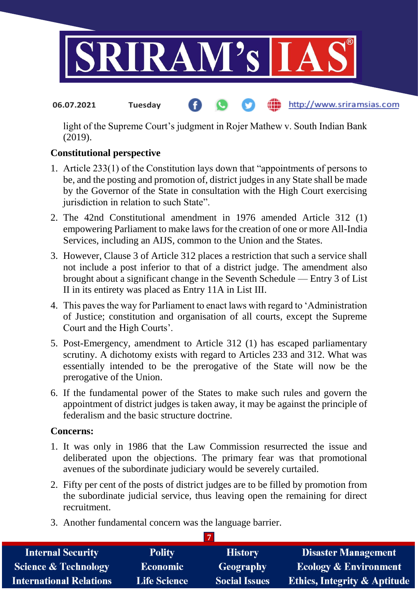

light of the Supreme Court's judgment in Rojer Mathew v. South Indian Bank (2019).

# **Constitutional perspective**

- 1. Article 233(1) of the Constitution lays down that "appointments of persons to be, and the posting and promotion of, district judges in any State shall be made by the Governor of the State in consultation with the High Court exercising jurisdiction in relation to such State".
- 2. The 42nd Constitutional amendment in 1976 amended Article 312 (1) empowering Parliament to make laws for the creation of one or more All-India Services, including an AIJS, common to the Union and the States.
- 3. However, Clause 3 of Article 312 places a restriction that such a service shall not include a post inferior to that of a district judge. The amendment also brought about a significant change in the Seventh Schedule — Entry 3 of List II in its entirety was placed as Entry 11A in List III.
- 4. This paves the way for Parliament to enact laws with regard to 'Administration of Justice; constitution and organisation of all courts, except the Supreme Court and the High Courts'.
- 5. Post-Emergency, amendment to Article 312 (1) has escaped parliamentary scrutiny. A dichotomy exists with regard to Articles 233 and 312. What was essentially intended to be the prerogative of the State will now be the prerogative of the Union.
- 6. If the fundamental power of the States to make such rules and govern the appointment of district judges is taken away, it may be against the principle of federalism and the basic structure doctrine.

# **Concerns:**

- 1. It was only in 1986 that the Law Commission resurrected the issue and deliberated upon the objections. The primary fear was that promotional avenues of the subordinate judiciary would be severely curtailed.
- 2. Fifty per cent of the posts of district judges are to be filled by promotion from the subordinate judicial service, thus leaving open the remaining for direct recruitment.
- 3. Another fundamental concern was the language barrier.

| <b>Internal Security</b>        | <b>Polity</b>       | <b>History</b>       | <b>Disaster Management</b>              |  |
|---------------------------------|---------------------|----------------------|-----------------------------------------|--|
| <b>Science &amp; Technology</b> | <b>Economic</b>     | Geography            | <b>Ecology &amp; Environment</b>        |  |
| <b>International Relations</b>  | <b>Life Science</b> | <b>Social Issues</b> | <b>Ethics, Integrity &amp; Aptitude</b> |  |